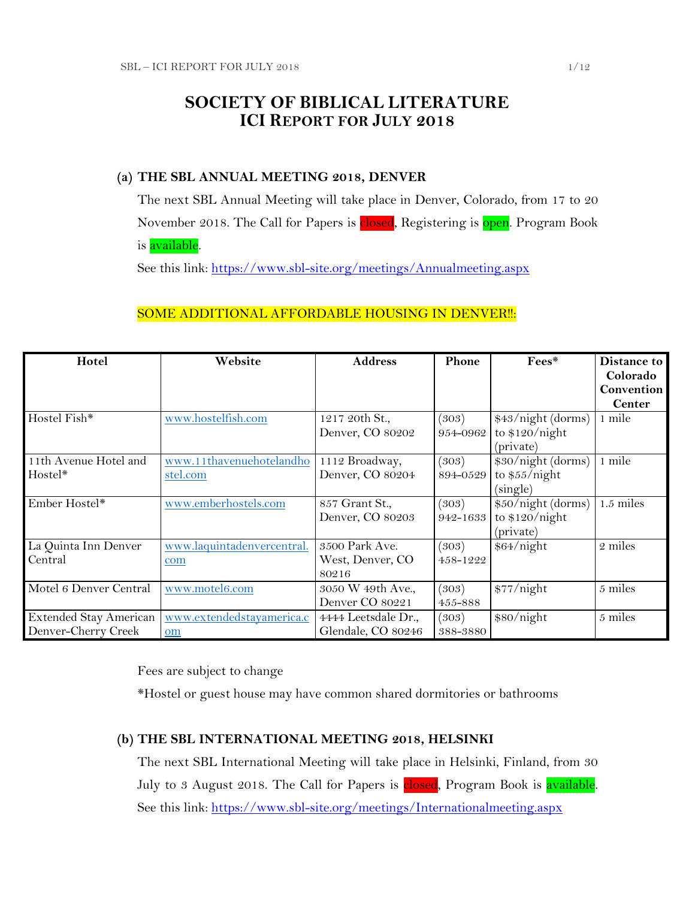# **SOCIETY OF BIBLICAL LITERATURE ICI REPORT FOR JULY 2018**

# **(a) THE SBL ANNUAL MEETING 2018, DENVER**

The next SBL Annual Meeting will take place in Denver, Colorado, from 17 to 20 November 2018. The Call for Papers is closed, Registering is open. Program Book is **available**.

See this link:<https://www.sbl-site.org/meetings/Annualmeeting.aspx>

# SOME ADDITIONAL AFFORDABLE HOUSING IN DENVER !!:

| Hotel                  | Website                    | <b>Address</b>      | Phone    | Fees*              | Distance to   |
|------------------------|----------------------------|---------------------|----------|--------------------|---------------|
|                        |                            |                     |          |                    | Colorado      |
|                        |                            |                     |          |                    | Convention    |
|                        |                            |                     |          |                    | <b>Center</b> |
| Hostel Fish*           | www.hostelfish.com         | 1217 20th St.,      | (303)    | \$43/night (dorms) | 1 mile        |
|                        |                            | Denver, CO 80202    | 954-0962 | to $$120/night$    |               |
|                        |                            |                     |          | (private)          |               |
| 11th Avenue Hotel and  | www.11thavenuehotelandho   | 1112 Broadway,      | (303)    | \$30/night (dorms) | 1 mile        |
| Hostel*                | stel.com                   | Denver, CO 80204    | 894-0529 | to $$55/night$     |               |
|                        |                            |                     |          | (single)           |               |
| Ember Hostel*          | www.emberhostels.com       | 857 Grant St.,      | (303)    | \$50/night (dorms) | $1.5$ miles   |
|                        |                            | Denver, CO 80203    | 942-1633 | to $$120/night$    |               |
|                        |                            |                     |          | (private)          |               |
| La Quinta Inn Denver   | www.laquintadenvercentral. | 3500 Park Ave.      | (303)    | \$64/night         | 2 miles       |
| Central                | com                        | West, Denver, CO    | 458-1222 |                    |               |
|                        |                            | 80216               |          |                    |               |
| Motel 6 Denver Central | www.motel6.com             | 3050 W 49th Ave.,   | (303)    | \$77/night         | 5 miles       |
|                        |                            | Denver CO 80221     | 455-888  |                    |               |
| Extended Stay American | www.extendedstayamerica.c  | 4444 Leetsdale Dr., | (303)    | \$80/night         | 5 miles       |
| Denver-Cherry Creek    | om                         | Glendale, CO 80246  | 388-3880 |                    |               |

Fees are subject to change

\*Hostel or guest house may have common shared dormitories or bathrooms

## **(b) THE SBL INTERNATIONAL MEETING 2018, HELSINKI**

The next SBL International Meeting will take place in Helsinki, Finland, from 30 July to 3 August 2018. The Call for Papers is **closed**, Program Book is **available**. See this link:<https://www.sbl-site.org/meetings/Internationalmeeting.aspx>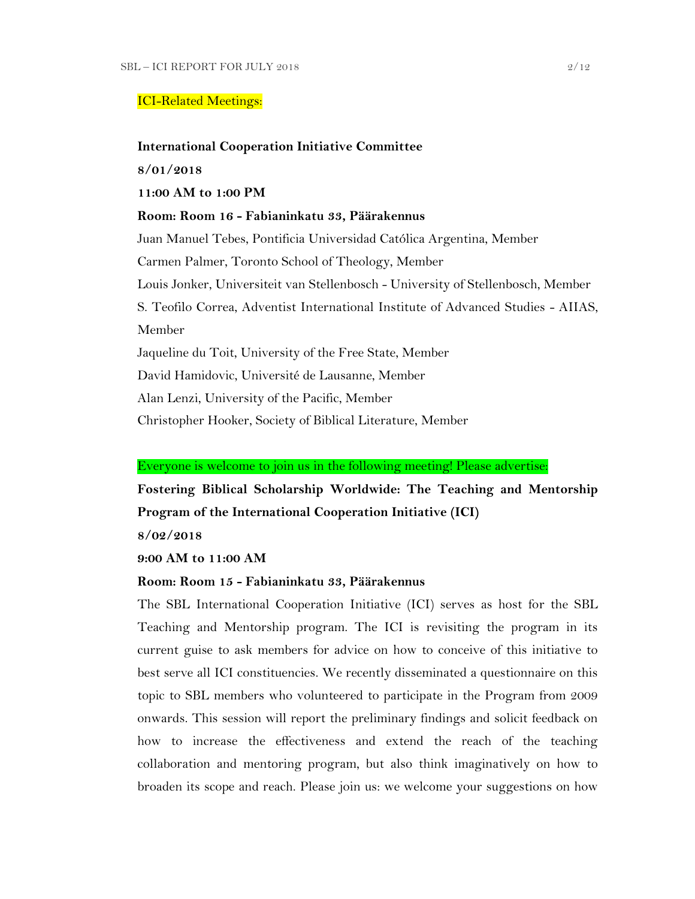### ICI-Related Meetings:

### **International Cooperation Initiative Committee**

**8/01/2018**

## **11:00 AM to 1:00 PM**

**Room: Room 16 - Fabianinkatu 33, Päärakennus**

Juan Manuel Tebes, Pontificia Universidad Católica Argentina, Member Carmen Palmer, Toronto School of Theology, Member Louis Jonker, Universiteit van Stellenbosch - University of Stellenbosch, Member S. Teofilo Correa, Adventist International Institute of Advanced Studies - AIIAS, Member Jaqueline du Toit, University of the Free State, Member David Hamidovic, Université de Lausanne, Member Alan Lenzi, University of the Pacific, Member

Christopher Hooker, Society of Biblical Literature, Member

### Everyone is welcome to join us in the following meeting! Please advertise:

**Fostering Biblical Scholarship Worldwide: The Teaching and Mentorship Program of the International Cooperation Initiative (ICI)**

**8/02/2018**

**9:00 AM to 11:00 AM**

### **Room: Room 15 - Fabianinkatu 33, Päärakennus**

The SBL International Cooperation Initiative (ICI) serves as host for the SBL Teaching and Mentorship program. The ICI is revisiting the program in its current guise to ask members for advice on how to conceive of this initiative to best serve all ICI constituencies. We recently disseminated a questionnaire on this topic to SBL members who volunteered to participate in the Program from 2009 onwards. This session will report the preliminary findings and solicit feedback on how to increase the effectiveness and extend the reach of the teaching collaboration and mentoring program, but also think imaginatively on how to broaden its scope and reach. Please join us: we welcome your suggestions on how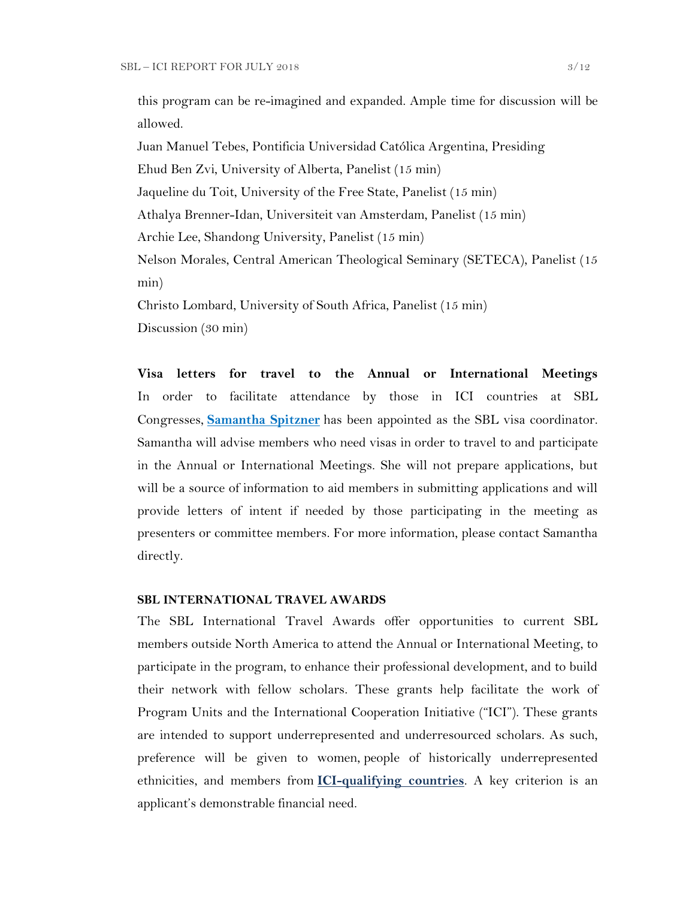this program can be re-imagined and expanded. Ample time for discussion will be allowed.

Juan Manuel Tebes, Pontificia Universidad Católica Argentina, Presiding Ehud Ben Zvi, University of Alberta, Panelist (15 min) Jaqueline du Toit, University of the Free State, Panelist (15 min) Athalya Brenner-Idan, Universiteit van Amsterdam, Panelist (15 min) Archie Lee, Shandong University, Panelist (15 min) Nelson Morales, Central American Theological Seminary (SETECA), Panelist (15 min) Christo Lombard, University of South Africa, Panelist (15 min)

Discussion (30 min)

**Visa letters for travel to the Annual or International Meetings** In order to facilitate attendance by those in ICI countries at SBL Congresses, **[Samantha Spitzner](mailto:samantha.spitzner@sbl-site.org)** has been appointed as the SBL visa coordinator. Samantha will advise members who need visas in order to travel to and participate in the Annual or International Meetings. She will not prepare applications, but will be a source of information to aid members in submitting applications and will provide letters of intent if needed by those participating in the meeting as presenters or committee members. For more information, please contact Samantha directly.

### **SBL INTERNATIONAL TRAVEL AWARDS**

The SBL International Travel Awards offer opportunities to current SBL members outside North America to attend the Annual or International Meeting, to participate in the program, to enhance their professional development, and to build their network with fellow scholars. These grants help facilitate the work of Program Units and the International Cooperation Initiative ("ICI"). These grants are intended to support underrepresented and underresourced scholars. As such, preference will be given to women, people of historically underrepresented ethnicities, and members from **[ICI-qualifying countries](https://www.sbl-site.org/assets/pdfs/ICIcountries.pdf)**. A key criterion is an applicant's demonstrable financial need.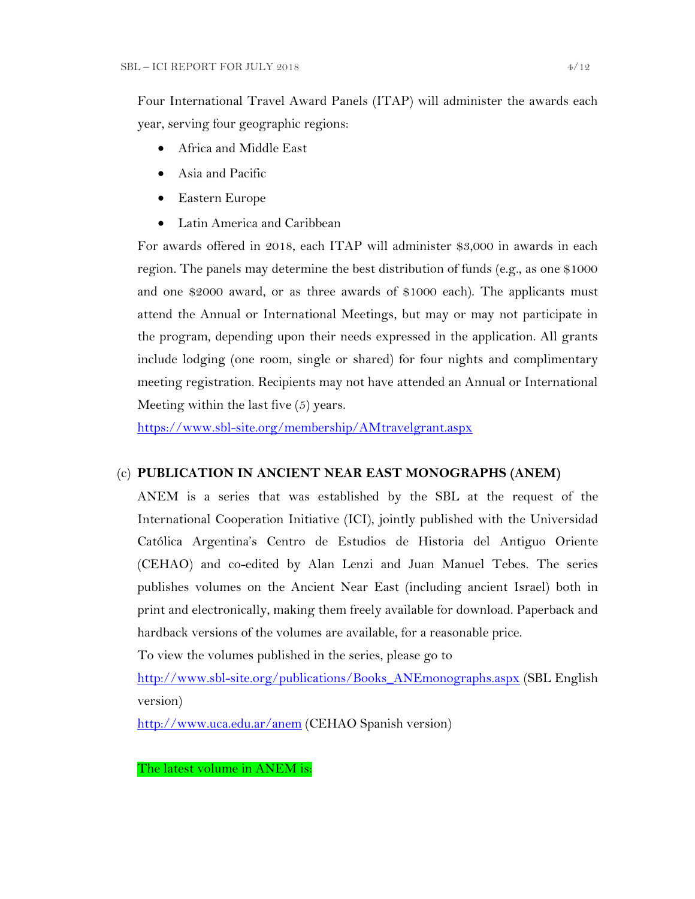Four International Travel Award Panels (ITAP) will administer the awards each year, serving four geographic regions:

- Africa and Middle East
- Asia and Pacific
- Eastern Europe
- Latin America and Caribbean

For awards offered in 2018, each ITAP will administer \$3,000 in awards in each region. The panels may determine the best distribution of funds (e.g., as one \$1000 and one \$2000 award, or as three awards of \$1000 each). The applicants must attend the Annual or International Meetings, but may or may not participate in the program, depending upon their needs expressed in the application. All grants include lodging (one room, single or shared) for four nights and complimentary meeting registration. Recipients may not have attended an Annual or International Meeting within the last five (5) years.

<https://www.sbl-site.org/membership/AMtravelgrant.aspx>

## (c) **PUBLICATION IN [ANCIENT NEAR EAST MONOGRAPHS](http://www.sbl-site.org/publications/Books_ANEmonographs.aspx) (ANEM)**

ANEM is a series that was established by the SBL at the request of the International Cooperation Initiative (ICI), jointly published with the Universidad Católica Argentina's Centro de Estudios de Historia del Antiguo Oriente (CEHAO) and co-edited by Alan Lenzi and Juan Manuel Tebes. The series publishes volumes on the Ancient Near East (including ancient Israel) both in print and electronically, making them freely available for download. Paperback and hardback versions of the volumes are available, for a reasonable price.

To view the volumes published in the series, please go to

[http://www.sbl-site.org/publications/Books\\_ANEmonographs.aspx](http://www.sbl-site.org/publications/Books_ANEmonographs.aspx) (SBL English version)

<http://www.uca.edu.ar/anem> (CEHAO Spanish version)

The latest volume in ANEM is: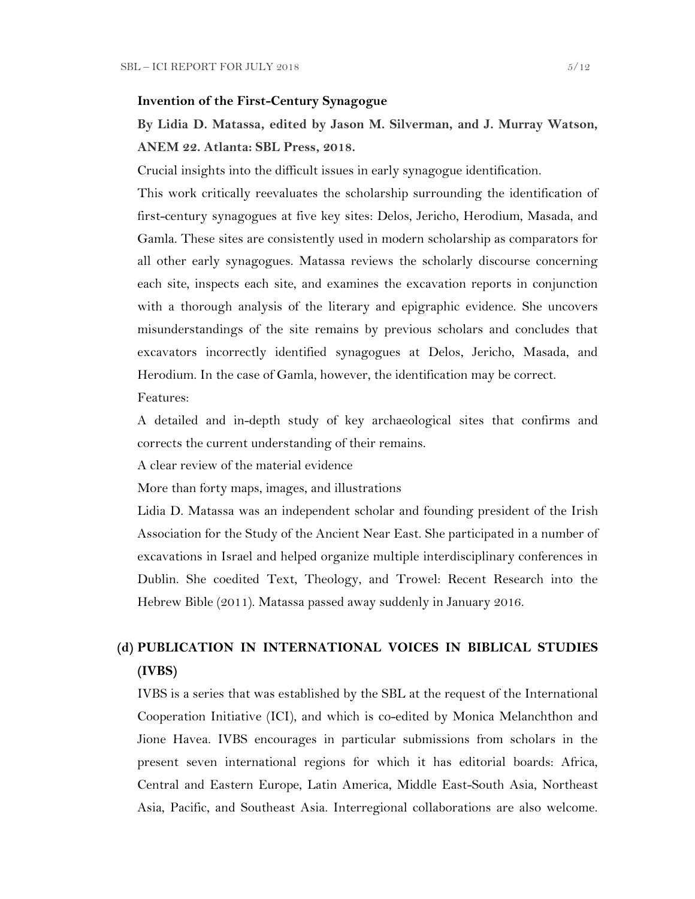### **Invention of the First-Century Synagogue**

# **By Lidia D. Matassa, edited by Jason M. Silverman, and J. Murray Watson, ANEM 22. Atlanta: SBL Press, 2018.**

Crucial insights into the difficult issues in early synagogue identification.

This work critically reevaluates the scholarship surrounding the identification of first-century synagogues at five key sites: Delos, Jericho, Herodium, Masada, and Gamla. These sites are consistently used in modern scholarship as comparators for all other early synagogues. Matassa reviews the scholarly discourse concerning each site, inspects each site, and examines the excavation reports in conjunction with a thorough analysis of the literary and epigraphic evidence. She uncovers misunderstandings of the site remains by previous scholars and concludes that excavators incorrectly identified synagogues at Delos, Jericho, Masada, and Herodium. In the case of Gamla, however, the identification may be correct.

### Features:

A detailed and in-depth study of key archaeological sites that confirms and corrects the current understanding of their remains.

A clear review of the material evidence

More than forty maps, images, and illustrations

Lidia D. Matassa was an independent scholar and founding president of the Irish Association for the Study of the Ancient Near East. She participated in a number of excavations in Israel and helped organize multiple interdisciplinary conferences in Dublin. She coedited Text, Theology, and Trowel: Recent Research into the Hebrew Bible (2011). Matassa passed away suddenly in January 2016.

# **(d) PUBLICATION IN INTERNATIONAL VOICES IN BIBLICAL STUDIES (IVBS)**

IVBS is a series that was established by the SBL at the request of the International Cooperation Initiative (ICI), and which is co-edited by Monica Melanchthon and Jione Havea. IVBS encourages in particular submissions from scholars in the present seven international regions for which it has editorial boards: Africa, Central and Eastern Europe, Latin America, Middle East-South Asia, Northeast Asia, Pacific, and Southeast Asia. Interregional collaborations are also welcome.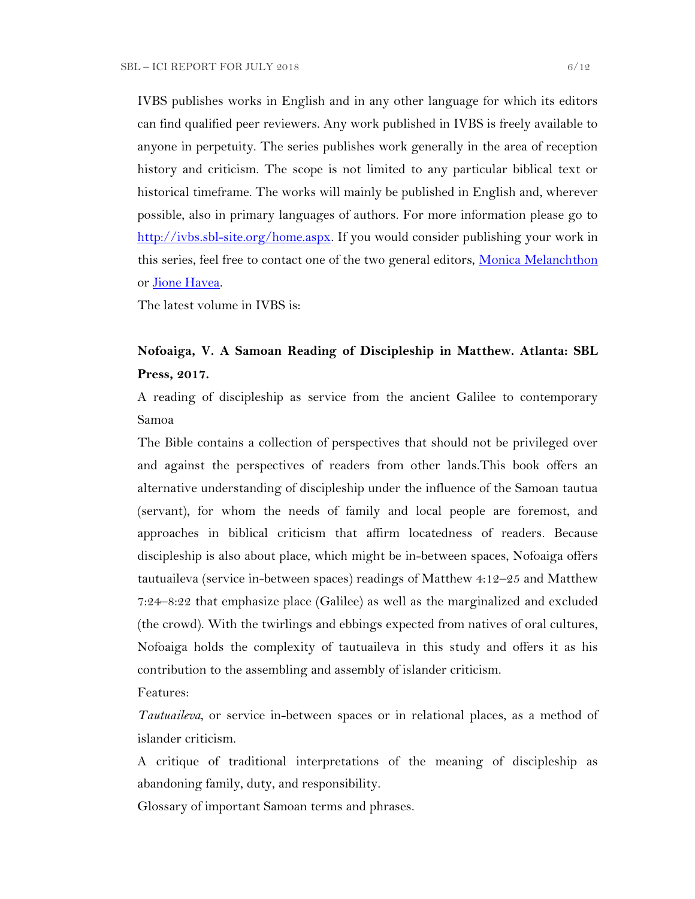IVBS publishes works in English and in any other language for which its editors can find qualified peer reviewers. Any work published in IVBS is freely available to anyone in perpetuity. The series publishes work generally in the area of reception history and criticism. The scope is not limited to any particular biblical text or historical timeframe. The works will mainly be published in English and, wherever possible, also in primary languages of authors. For more information please go to [http://ivbs.sbl-site.org/home.aspx.](http://ivbs.sbl-site.org/home.aspx) If you would consider publishing your work in this series, feel free to contact one of the two general editors, [Monica Melanchthon](mailto:ivbs2010@gmail.com) or [Jione Havea.](mailto:jioneh@nsw.uca.org.au)

The latest volume in IVBS is:

# **Nofoaiga, V. A Samoan Reading of Discipleship in Matthew. Atlanta: SBL Press, 2017.**

A reading of discipleship as service from the ancient Galilee to contemporary Samoa

The Bible contains a collection of perspectives that should not be privileged over and against the perspectives of readers from other lands.This book offers an alternative understanding of discipleship under the influence of the Samoan tautua (servant), for whom the needs of family and local people are foremost, and approaches in biblical criticism that affirm locatedness of readers. Because discipleship is also about place, which might be in-between spaces, Nofoaiga offers tautuaileva (service in-between spaces) readings of Matthew 4:12–25 and Matthew 7:24–8:22 that emphasize place (Galilee) as well as the marginalized and excluded (the crowd). With the twirlings and ebbings expected from natives of oral cultures, Nofoaiga holds the complexity of tautuaileva in this study and offers it as his contribution to the assembling and assembly of islander criticism.

Features:

*Tautuaileva*, or service in-between spaces or in relational places, as a method of islander criticism.

A critique of traditional interpretations of the meaning of discipleship as abandoning family, duty, and responsibility.

Glossary of important Samoan terms and phrases.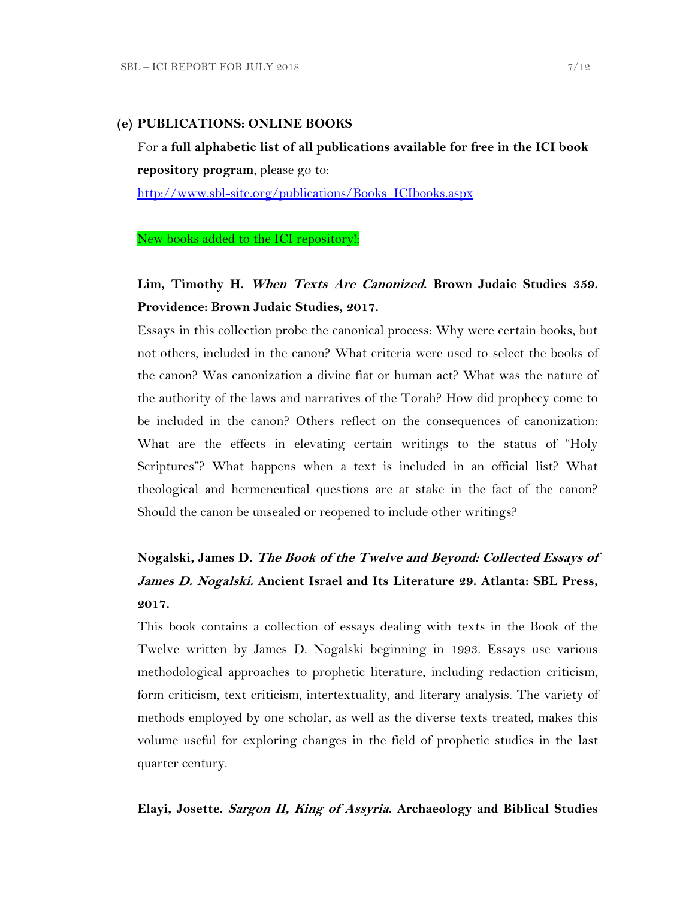### **(e) PUBLICATIONS: ONLINE BOOKS**

For a **full alphabetic list of all publications available for free in the ICI book repository program**, please go to:

[http://www.sbl-site.org/publications/Books\\_ICIbooks.aspx](http://www.sbl-site.org/publications/Books_ICIbooks.aspx)

### New books added to the ICI repository!:

# **Lim, Timothy H. When Texts Are Canonized. Brown Judaic Studies 359. Providence: Brown Judaic Studies, 2017.**

Essays in this collection probe the canonical process: Why were certain books, but not others, included in the canon? What criteria were used to select the books of the canon? Was canonization a divine fiat or human act? What was the nature of the authority of the laws and narratives of the Torah? How did prophecy come to be included in the canon? Others reflect on the consequences of canonization: What are the effects in elevating certain writings to the status of "Holy Scriptures"? What happens when a text is included in an official list? What theological and hermeneutical questions are at stake in the fact of the canon? Should the canon be unsealed or reopened to include other writings?

# **Nogalski, James D. The Book of the Twelve and Beyond: Collected Essays of James D. Nogalski. Ancient Israel and Its Literature 29. Atlanta: SBL Press, 2017.**

This book contains a collection of essays dealing with texts in the Book of the Twelve written by James D. Nogalski beginning in 1993. Essays use various methodological approaches to prophetic literature, including redaction criticism, form criticism, text criticism, intertextuality, and literary analysis. The variety of methods employed by one scholar, as well as the diverse texts treated, makes this volume useful for exploring changes in the field of prophetic studies in the last quarter century.

### **Elayi, Josette. Sargon II, King of Assyria. Archaeology and Biblical Studies**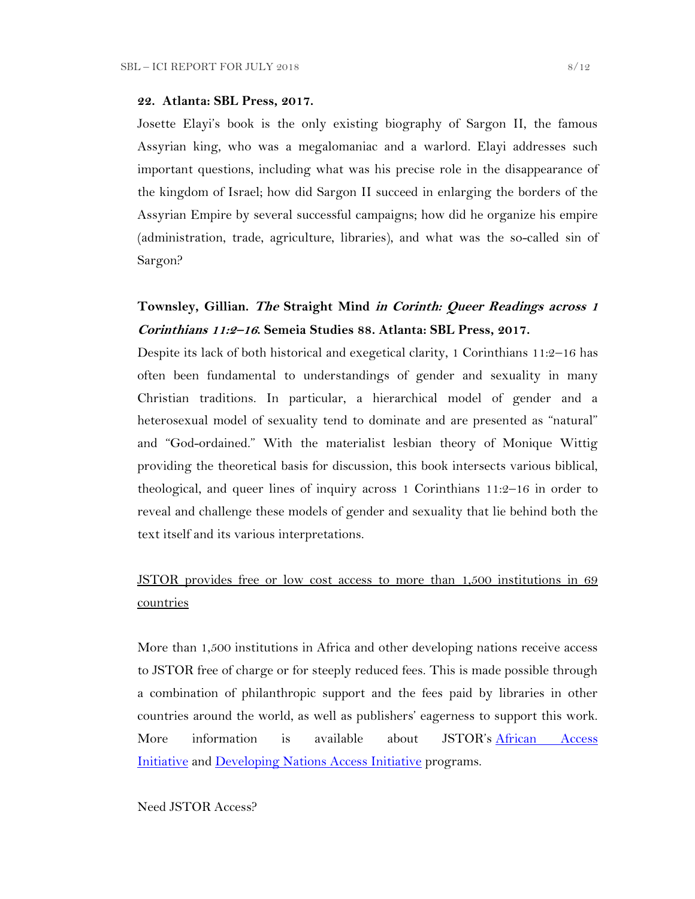#### **22. Atlanta: SBL Press, 2017.**

Josette Elayi's book is the only existing biography of Sargon II, the famous Assyrian king, who was a megalomaniac and a warlord. Elayi addresses such important questions, including what was his precise role in the disappearance of the kingdom of Israel; how did Sargon II succeed in enlarging the borders of the Assyrian Empire by several successful campaigns; how did he organize his empire (administration, trade, agriculture, libraries), and what was the so-called sin of Sargon?

# **Townsley, Gillian. The Straight Mind in Corinth: Queer Readings across 1 Corinthians 11:2–<sup>16</sup>. Semeia Studies 88. Atlanta: SBL Press, 2017.**

Despite its lack of both historical and exegetical clarity, 1 Corinthians 11:2–16 has often been fundamental to understandings of gender and sexuality in many Christian traditions. In particular, a hierarchical model of gender and a heterosexual model of sexuality tend to dominate and are presented as "natural" and "God-ordained." With the materialist lesbian theory of Monique Wittig providing the theoretical basis for discussion, this book intersects various biblical, theological, and queer lines of inquiry across 1 Corinthians 11:2–16 in order to reveal and challenge these models of gender and sexuality that lie behind both the text itself and its various interpretations.

# JSTOR provides free or low cost access to more than 1,500 institutions in 69 countries

More than 1,500 institutions in Africa and other developing nations receive access to JSTOR free of charge or for steeply reduced fees. This is made possible through a combination of philanthropic support and the fees paid by libraries in other countries around the world, as well as publishers' eagerness to support this work. More information is available about JSTOR's [African Access](http://about.jstor.org/libraries/african-access-initiative)  [Initiative](http://about.jstor.org/libraries/african-access-initiative) and [Developing Nations Access Initiative](http://about.jstor.org/libraries/developing-nations-access-initiative) programs.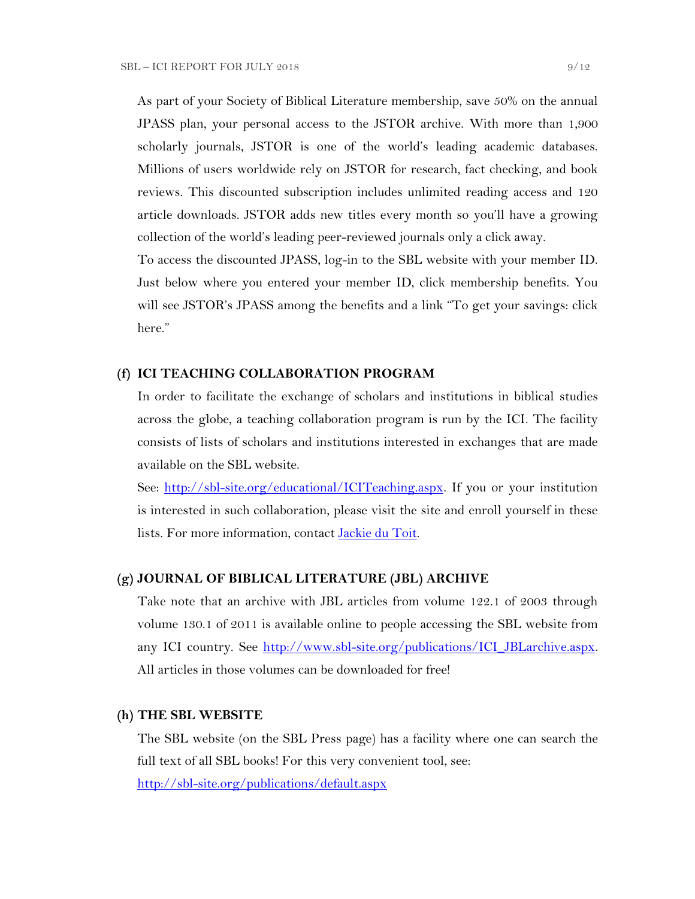As part of your Society of Biblical Literature membership, save 50% on the annual JPASS plan, your personal access to the JSTOR archive. With more than 1,900 scholarly journals, JSTOR is one of the world's leading academic databases. Millions of users worldwide rely on JSTOR for research, fact checking, and book reviews. This discounted subscription includes unlimited reading access and 120 article downloads. JSTOR adds new titles every month so you'll have a growing collection of the world's leading peer-reviewed journals only a click away.

To access the discounted JPASS, log-in to the SBL website with your member ID. Just below where you entered your member ID, click membership benefits. You will see JSTOR's JPASS among the benefits and a link "To get your savings: click here."

### **(f) ICI TEACHING COLLABORATION PROGRAM**

In order to facilitate the exchange of scholars and institutions in biblical studies across the globe, a teaching collaboration program is run by the ICI. The facility consists of lists of scholars and institutions interested in exchanges that are made available on the SBL website.

See: [http://sbl-site.org/educational/ICITeaching.aspx.](http://sbl-site.org/educational/ICITeaching.aspx) If you or your institution is interested in such collaboration, please visit the site and enroll yourself in these lists. For more information, contact [Jackie du Toit.](mailto:dutoitjs@ufs.ac.za)

### **(g) JOURNAL OF BIBLICAL LITERATURE (JBL) ARCHIVE**

Take note that an archive with JBL articles from volume 122.1 of 2003 through volume 130.1 of 2011 is available online to people accessing the SBL website from any ICI country. See [http://www.sbl-site.org/publications/ICI\\_JBLarchive.aspx.](http://www.sbl-site.org/publications/ICI_JBLarchive.aspx) All articles in those volumes can be downloaded for free!

### **(h) THE SBL WEBSITE**

The SBL website (on the SBL Press page) has a facility where one can search the full text of all SBL books! For this very convenient tool, see:

<http://sbl-site.org/publications/default.aspx>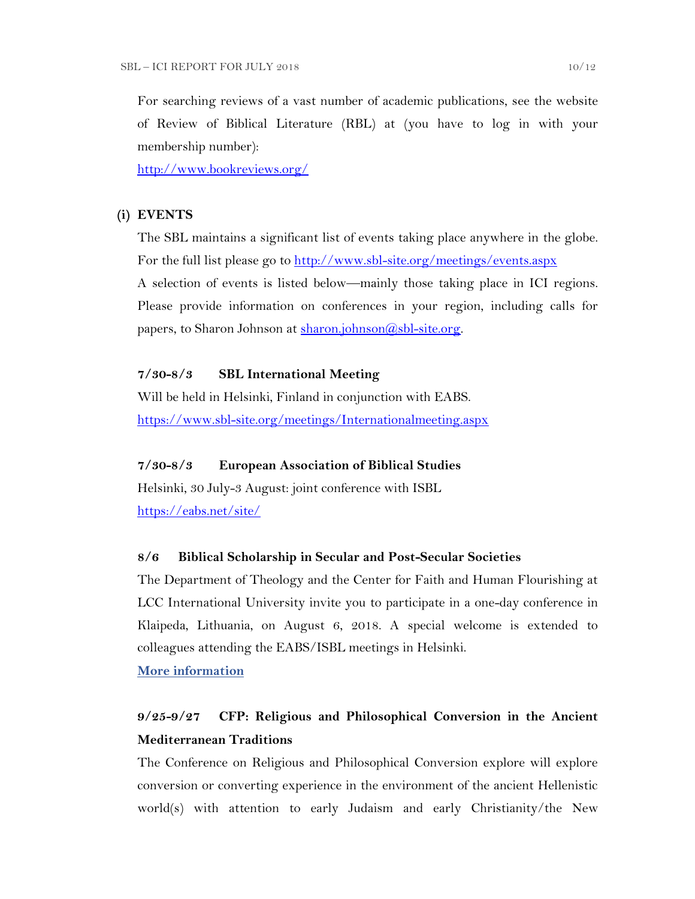For searching reviews of a vast number of academic publications, see the website of Review of Biblical Literature (RBL) at (you have to log in with your membership number):

<http://www.bookreviews.org/>

## **(i) EVENTS**

The SBL maintains a significant list of events taking place anywhere in the globe. For the full list please go to<http://www.sbl-site.org/meetings/events.aspx> A selection of events is listed below—mainly those taking place in ICI regions. Please provide information on conferences in your region, including calls for papers, to Sharon Johnson at [sharon.johnson@sbl-site.org.](mailto:sharon.johnson@sbl-site.org)

# **7/30-8/3 SBL International Meeting**

Will be held in Helsinki, Finland in conjunction with EABS. <https://www.sbl-site.org/meetings/Internationalmeeting.aspx>

# **7/30-8/3 European Association of Biblical Studies**

Helsinki, 30 July-3 August: joint conference with ISBL <https://eabs.net/site/>

## **8/6 Biblical Scholarship in Secular and Post-Secular Societies**

The Department of Theology and the Center for Faith and Human Flourishing at LCC International University invite you to participate in a one-day conference in Klaipeda, Lithuania, on August 6, 2018. A special welcome is extended to colleagues attending the EABS/ISBL meetings in Helsinki.

**[More information](https://www.lcc.lt/home/academics/research/cfhf-events/august-conferences-2018)**

# **9/25-9/27 CFP: Religious and Philosophical Conversion in the Ancient Mediterranean Traditions**

The Conference on Religious and Philosophical Conversion explore will explore conversion or converting experience in the environment of the ancient Hellenistic world(s) with attention to early Judaism and early Christianity/the New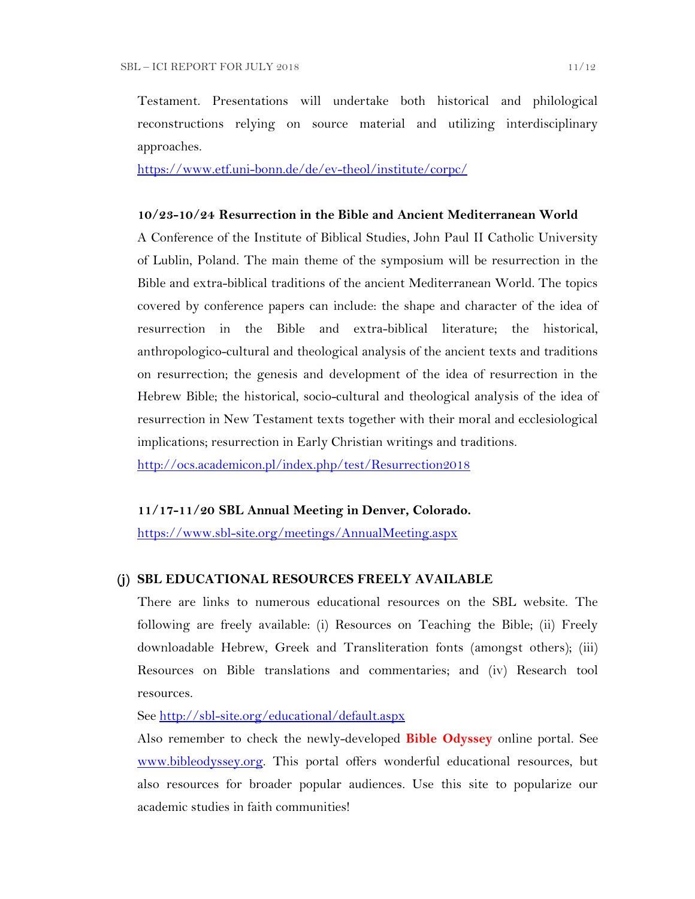Testament. Presentations will undertake both historical and philological reconstructions relying on source material and utilizing interdisciplinary approaches.

<https://www.etf.uni-bonn.de/de/ev-theol/institute/corpc/>

### **10/23-10/24 Resurrection in the Bible and Ancient Mediterranean World**

A Conference of the Institute of Biblical Studies, John Paul II Catholic University of Lublin, Poland. The main theme of the symposium will be resurrection in the Bible and extra-biblical traditions of the ancient Mediterranean World. The topics covered by conference papers can include: the shape and character of the idea of resurrection in the Bible and extra-biblical literature; the historical, anthropologico-cultural and theological analysis of the ancient texts and traditions on resurrection; the genesis and development of the idea of resurrection in the Hebrew Bible; the historical, socio-cultural and theological analysis of the idea of resurrection in New Testament texts together with their moral and ecclesiological implications; resurrection in Early Christian writings and traditions.

<http://ocs.academicon.pl/index.php/test/Resurrection2018>

## **11/17-11/20 SBL Annual Meeting in Denver, Colorado.**

<https://www.sbl-site.org/meetings/AnnualMeeting.aspx>

### **(j) SBL EDUCATIONAL RESOURCES FREELY AVAILABLE**

There are links to numerous educational resources on the SBL website. The following are freely available: (i) Resources on Teaching the Bible; (ii) Freely downloadable Hebrew, Greek and Transliteration fonts (amongst others); (iii) Resources on Bible translations and commentaries; and (iv) Research tool resources.

See<http://sbl-site.org/educational/default.aspx>

Also remember to check the newly-developed **Bible Odyssey** online portal. See [www.bibleodyssey.org.](http://www.bibleodyssey.org/) This portal offers wonderful educational resources, but also resources for broader popular audiences. Use this site to popularize our academic studies in faith communities!